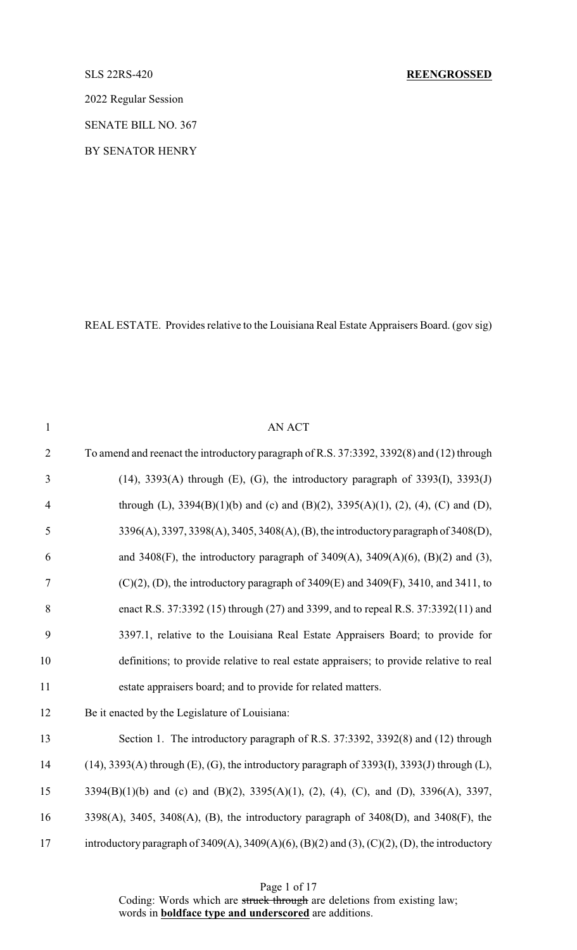## SLS 22RS-420 **REENGROSSED**

2022 Regular Session

SENATE BILL NO. 367

BY SENATOR HENRY

REAL ESTATE. Provides relative to the Louisiana Real Estate Appraisers Board. (gov sig)

| $\mathbf{1}$   | <b>AN ACT</b>                                                                                  |
|----------------|------------------------------------------------------------------------------------------------|
| $\overline{2}$ | To amend and reenact the introductory paragraph of R.S. 37:3392, 3392(8) and (12) through      |
| $\mathfrak{Z}$ | $(14)$ , 3393(A) through (E), (G), the introductory paragraph of 3393(I), 3393(J)              |
| $\overline{4}$ | through (L), $3394(B)(1)(b)$ and (c) and (B)(2), $3395(A)(1)$ , (2), (4), (C) and (D),         |
| 5              | 3396(A), 3397, 3398(A), 3405, 3408(A), (B), the introductory paragraph of 3408(D),             |
| 6              | and 3408(F), the introductory paragraph of 3409(A), 3409(A)(6), (B)(2) and (3),                |
| $\tau$         | $(C)(2)$ , (D), the introductory paragraph of 3409(E) and 3409(F), 3410, and 3411, to          |
| 8              | enact R.S. 37:3392 (15) through (27) and 3399, and to repeal R.S. 37:3392(11) and              |
| 9              | 3397.1, relative to the Louisiana Real Estate Appraisers Board; to provide for                 |
| 10             | definitions; to provide relative to real estate appraisers; to provide relative to real        |
| 11             | estate appraisers board; and to provide for related matters.                                   |
| 12             | Be it enacted by the Legislature of Louisiana:                                                 |
| 13             | Section 1. The introductory paragraph of R.S. 37:3392, 3392(8) and (12) through                |
| 14             | $(14)$ , 3393(A) through (E), (G), the introductory paragraph of 3393(I), 3393(J) through (L), |
| 15             | 3394(B)(1)(b) and (c) and (B)(2), 3395(A)(1), (2), (4), (C), and (D), 3396(A), 3397,           |
| 16             | 3398(A), 3405, 3408(A), (B), the introductory paragraph of $3408(D)$ , and $3408(F)$ , the     |
| 17             | introductory paragraph of 3409(A), 3409(A)(6), (B)(2) and (3), (C)(2), (D), the introductory   |

Page 1 of 17

Coding: Words which are struck through are deletions from existing law; words in **boldface type and underscored** are additions.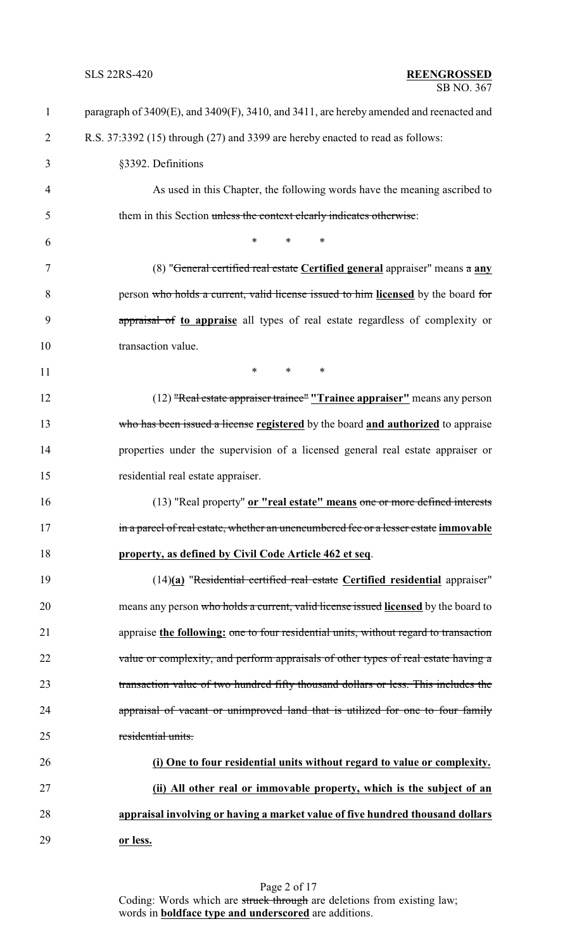| $\mathbf{1}$   | paragraph of 3409(E), and 3409(F), 3410, and 3411, are hereby amended and reenacted and |
|----------------|-----------------------------------------------------------------------------------------|
| $\overline{2}$ | R.S. 37:3392 (15) through (27) and 3399 are hereby enacted to read as follows:          |
| 3              | §3392. Definitions                                                                      |
| 4              | As used in this Chapter, the following words have the meaning ascribed to               |
| 5              | them in this Section unless the context clearly indicates otherwise:                    |
| 6              | $\ast$<br>$\ast$<br>∗                                                                   |
| 7              | (8) "General certified real estate Certified general appraiser" means a any             |
| 8              | person who holds a current, valid license issued to him licensed by the board for       |
| 9              | appraisal of to appraise all types of real estate regardless of complexity or           |
| 10             | transaction value.                                                                      |
| 11             | $\ast$<br>$\ast$<br>∗                                                                   |
| 12             | (12) "Real estate appraiser trainee" "Trainee appraiser" means any person               |
| 13             | who has been issued a license registered by the board and authorized to appraise        |
| 14             | properties under the supervision of a licensed general real estate appraiser or         |
| 15             | residential real estate appraiser.                                                      |
| 16             | (13) "Real property" or "real estate" means one or more defined interests               |
| 17             | in a parcel of real estate, whether an unencumbered fee or a lesser estate immovable    |
| 18             | property, as defined by Civil Code Article 462 et seq.                                  |
| 19             | $(14)(a)$ "Residential certified real estate Certified residential appraiser"           |
| 20             | means any person who holds a current, valid license issued licensed by the board to     |
| 21             | appraise the following: one to four residential units, without regard to transaction    |
| 22             | value or complexity, and perform appraisals of other types of real estate having a      |
| 23             | transaction value of two hundred fifty thousand dollars or less. This includes the      |
| 24             | appraisal of vacant or unimproved land that is utilized for one to four family          |
| 25             | residential units.                                                                      |
| 26             | (i) One to four residential units without regard to value or complexity.                |
| 27             | (ii) All other real or immovable property, which is the subject of an                   |
| 28             | appraisal involving or having a market value of five hundred thousand dollars           |
| 29             | or less.                                                                                |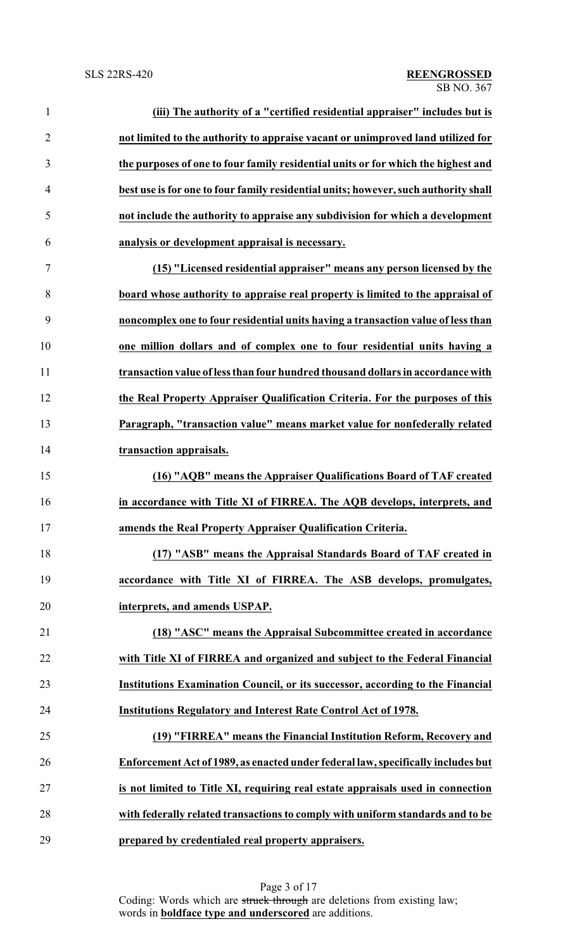| $\mathbf{1}$   | (iii) The authority of a "certified residential appraiser" includes but is          |
|----------------|-------------------------------------------------------------------------------------|
| $\overline{2}$ | not limited to the authority to appraise vacant or unimproved land utilized for     |
| 3              | the purposes of one to four family residential units or for which the highest and   |
| $\overline{4}$ | best use is for one to four family residential units; however, such authority shall |
| 5              | not include the authority to appraise any subdivision for which a development       |
| 6              | analysis or development appraisal is necessary.                                     |
| $\overline{7}$ | (15) "Licensed residential appraiser" means any person licensed by the              |
| $8\,$          | board whose authority to appraise real property is limited to the appraisal of      |
| 9              | noncomplex one to four residential units having a transaction value of less than    |
| 10             | one million dollars and of complex one to four residential units having a           |
| 11             | transaction value of less than four hundred thousand dollars in accordance with     |
| 12             | the Real Property Appraiser Qualification Criteria. For the purposes of this        |
| 13             | Paragraph, "transaction value" means market value for nonfederally related          |
| 14             | transaction appraisals.                                                             |
| 15             | (16) "AQB" means the Appraiser Qualifications Board of TAF created                  |
| 16             | in accordance with Title XI of FIRREA. The AQB develops, interprets, and            |
| 17             | amends the Real Property Appraiser Qualification Criteria.                          |
| 18             | (17) "ASB" means the Appraisal Standards Board of TAF created in                    |
| 19             | accordance with Title XI of FIRREA. The ASB develops, promulgates,                  |
| 20             | interprets, and amends USPAP.                                                       |
| 21             | (18) "ASC" means the Appraisal Subcommittee created in accordance                   |
| 22             | with Title XI of FIRREA and organized and subject to the Federal Financial          |
| 23             | Institutions Examination Council, or its successor, according to the Financial      |
| 24             | <b>Institutions Regulatory and Interest Rate Control Act of 1978.</b>               |
| 25             | (19) "FIRREA" means the Financial Institution Reform, Recovery and                  |
| 26             | Enforcement Act of 1989, as enacted under federal law, specifically includes but    |
| 27             | is not limited to Title XI, requiring real estate appraisals used in connection     |
| 28             | with federally related transactions to comply with uniform standards and to be      |
| 29             | prepared by credentialed real property appraisers.                                  |

Page 3 of 17 Coding: Words which are struck through are deletions from existing law; words in **boldface type and underscored** are additions.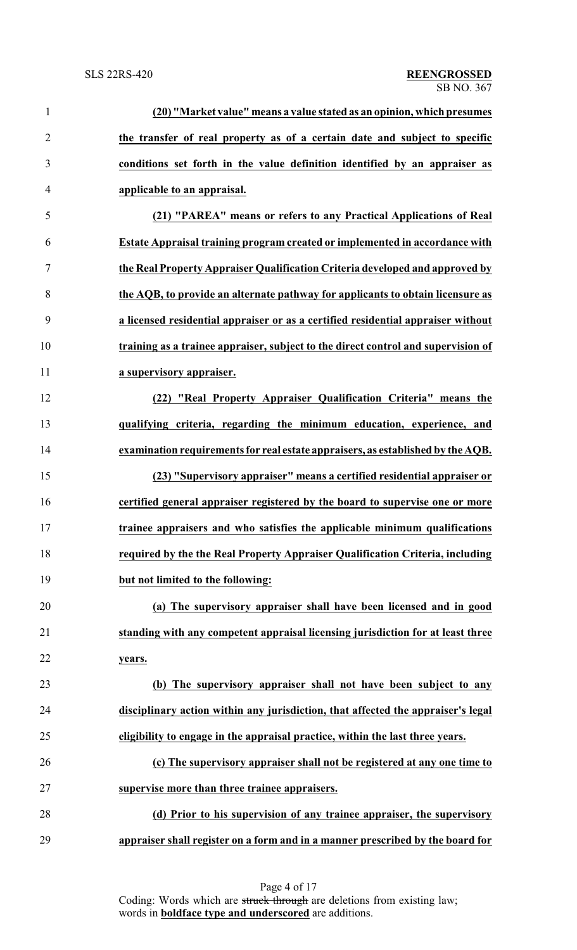| $\mathbf{1}$   | (20) "Market value" means a value stated as an opinion, which presumes            |
|----------------|-----------------------------------------------------------------------------------|
| $\overline{2}$ | the transfer of real property as of a certain date and subject to specific        |
| 3              | conditions set forth in the value definition identified by an appraiser as        |
| $\overline{4}$ | applicable to an appraisal.                                                       |
| 5              | (21) "PAREA" means or refers to any Practical Applications of Real                |
| 6              | Estate Appraisal training program created or implemented in accordance with       |
| 7              | the Real Property Appraiser Qualification Criteria developed and approved by      |
| 8              | the AQB, to provide an alternate pathway for applicants to obtain licensure as    |
| 9              | a licensed residential appraiser or as a certified residential appraiser without  |
| 10             | training as a trainee appraiser, subject to the direct control and supervision of |
| 11             | a supervisory appraiser.                                                          |
| 12             | (22) "Real Property Appraiser Qualification Criteria" means the                   |
| 13             | qualifying criteria, regarding the minimum education, experience, and             |
| 14             | examination requirements for real estate appraisers, as established by the AQB.   |
| 15             | (23) "Supervisory appraiser" means a certified residential appraiser or           |
| 16             | certified general appraiser registered by the board to supervise one or more      |
| 17             | trainee appraisers and who satisfies the applicable minimum qualifications        |
| 18             | required by the the Real Property Appraiser Qualification Criteria, including     |
| 19             | but not limited to the following:                                                 |
| 20             | (a) The supervisory appraiser shall have been licensed and in good                |
| 21             | standing with any competent appraisal licensing jurisdiction for at least three   |
| 22             | years.                                                                            |
| 23             | (b) The supervisory appraiser shall not have been subject to any                  |
| 24             | disciplinary action within any jurisdiction, that affected the appraiser's legal  |
| 25             | eligibility to engage in the appraisal practice, within the last three years.     |
| 26             | (c) The supervisory appraiser shall not be registered at any one time to          |
| 27             | supervise more than three trainee appraisers.                                     |
| 28             | (d) Prior to his supervision of any trainee appraiser, the supervisory            |
| 29             | appraiser shall register on a form and in a manner prescribed by the board for    |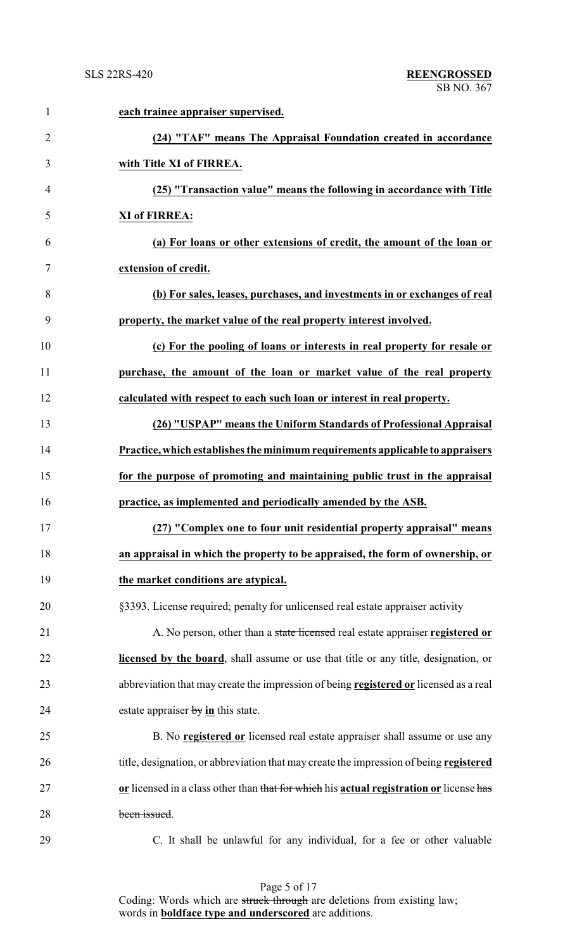| $\mathbf{1}$   | each trainee appraiser supervised.                                                          |
|----------------|---------------------------------------------------------------------------------------------|
| $\overline{2}$ | (24) "TAF" means The Appraisal Foundation created in accordance                             |
| 3              | with Title XI of FIRREA.                                                                    |
| $\overline{4}$ | (25) "Transaction value" means the following in accordance with Title                       |
| 5              | <b>XI of FIRREA:</b>                                                                        |
| 6              | (a) For loans or other extensions of credit, the amount of the loan or                      |
| 7              | extension of credit.                                                                        |
| 8              | (b) For sales, leases, purchases, and investments in or exchanges of real                   |
| 9              | property, the market value of the real property interest involved.                          |
| 10             | (c) For the pooling of loans or interests in real property for resale or                    |
| 11             | purchase, the amount of the loan or market value of the real property                       |
| 12             | calculated with respect to each such loan or interest in real property.                     |
| 13             | (26) "USPAP" means the Uniform Standards of Professional Appraisal                          |
| 14             | Practice, which establishes the minimum requirements applicable to appraisers               |
| 15             | for the purpose of promoting and maintaining public trust in the appraisal                  |
| 16             | practice, as implemented and periodically amended by the ASB.                               |
| 17             | (27) "Complex one to four unit residential property appraisal" means                        |
| 18             | an appraisal in which the property to be appraised, the form of ownership, or               |
| 19             | the market conditions are atypical.                                                         |
| 20             | §3393. License required; penalty for unlicensed real estate appraiser activity              |
| 21             | A. No person, other than a state licensed real estate appraiser registered or               |
| 22             | <b>licensed by the board</b> , shall assume or use that title or any title, designation, or |
| 23             | abbreviation that may create the impression of being registered or licensed as a real       |
| 24             | estate appraiser $\frac{by}{in}$ this state.                                                |
| 25             | B. No <b>registered or</b> licensed real estate appraiser shall assume or use any           |
| 26             | title, designation, or abbreviation that may create the impression of being registered      |
| 27             | or licensed in a class other than that for which his actual registration or license has     |
| 28             | been issued.                                                                                |
| 29             | C. It shall be unlawful for any individual, for a fee or other valuable                     |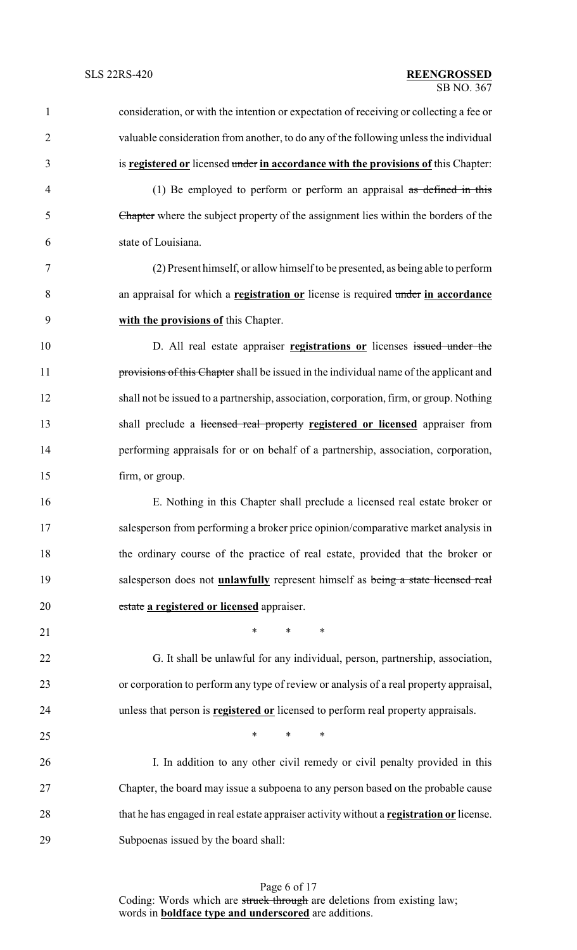| $\mathbf{1}$   | consideration, or with the intention or expectation of receiving or collecting a fee or  |
|----------------|------------------------------------------------------------------------------------------|
| $\overline{2}$ | valuable consideration from another, to do any of the following unless the individual    |
| 3              | is registered or licensed under in accordance with the provisions of this Chapter:       |
| $\overline{4}$ | (1) Be employed to perform or perform an appraisal $\alpha s$ defined in this            |
| 5              | Chapter where the subject property of the assignment lies within the borders of the      |
| 6              | state of Louisiana.                                                                      |
| 7              | (2) Present himself, or allow himself to be presented, as being able to perform          |
| $8\,$          | an appraisal for which a registration or license is required under in accordance         |
| 9              | with the provisions of this Chapter.                                                     |
| 10             | D. All real estate appraiser registrations or licenses issued under the                  |
| 11             | provisions of this Chapter shall be issued in the individual name of the applicant and   |
| 12             | shall not be issued to a partnership, association, corporation, firm, or group. Nothing  |
| 13             | shall preclude a licensed real property registered or licensed appraiser from            |
| 14             | performing appraisals for or on behalf of a partnership, association, corporation,       |
| 15             | firm, or group.                                                                          |
| 16             | E. Nothing in this Chapter shall preclude a licensed real estate broker or               |
| 17             | salesperson from performing a broker price opinion/comparative market analysis in        |
| 18             | the ordinary course of the practice of real estate, provided that the broker or          |
| 19             | salesperson does not <i>unlawfully</i> represent himself as being a state licensed real  |
| 20             | estate a registered or licensed appraiser.                                               |
| 21             | $\ast$<br>$\ast$<br>$\ast$                                                               |
| 22             | G. It shall be unlawful for any individual, person, partnership, association,            |
| 23             | or corporation to perform any type of review or analysis of a real property appraisal,   |
| 24             | unless that person is <b>registered or</b> licensed to perform real property appraisals. |
| 25             | $*$ *<br>$\ast$                                                                          |
| 26             | I. In addition to any other civil remedy or civil penalty provided in this               |
| 27             | Chapter, the board may issue a subpoena to any person based on the probable cause        |
| 28             | that he has engaged in real estate appraiser activity without a registration or license. |
| 29             | Subpoenas issued by the board shall:                                                     |
|                |                                                                                          |

Page 6 of 17 Coding: Words which are struck through are deletions from existing law; words in **boldface type and underscored** are additions.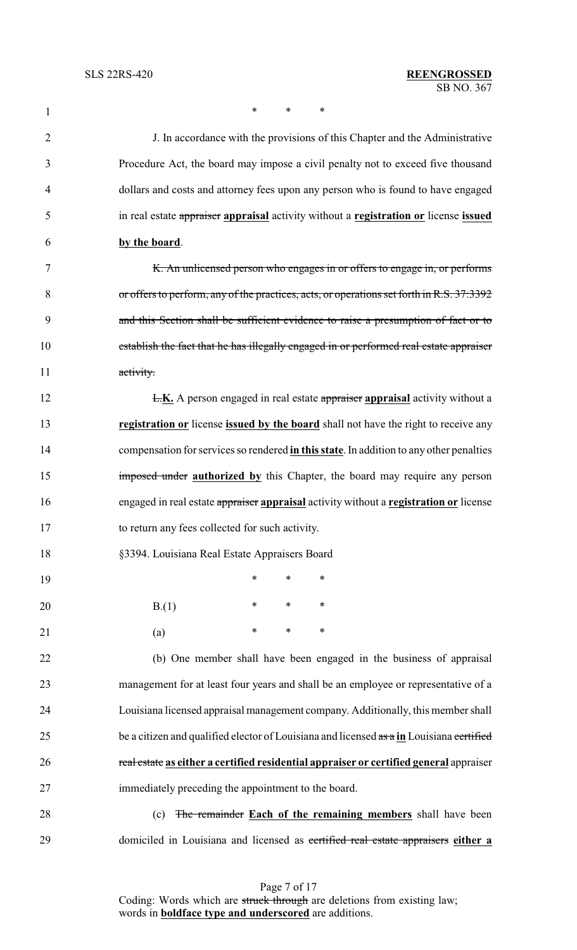1 \* \* \* \*

 J. In accordance with the provisions of this Chapter and the Administrative Procedure Act, the board may impose a civil penalty not to exceed five thousand dollars and costs and attorney fees upon any person who is found to have engaged in real estate appraiser **appraisal** activity without a **registration or** license **issued by the board**. 7 K. An unlicensed person who engages in or offers to engage in, or performs or offers to perform, any of the practices, acts, or operations set forth in R.S. 37:3392 and this Section shall be sufficient evidence to raise a presumption of fact or to 10 establish the fact that he has illegally engaged in or performed real estate appraiser 11 activity. **L.K.** A person engaged in real estate appraiser appraisal activity without a **registration or** license **issued by the board** shall not have the right to receive any

 compensation for services so rendered **in this state**. In addition to any other penalties **imposed under authorized by** this Chapter, the board may require any person engaged in real estate appraiser **appraisal** activity without a **registration or** license to return any fees collected for such activity.

§3394. Louisiana Real Estate Appraisers Board

| 19              |      | *      | $\ast$ | $\ast$ |
|-----------------|------|--------|--------|--------|
| 20              | B(1) | $\ast$ | $\ast$ | $\ast$ |
| $\overline{21}$ | (a)  | $*$    | $\ast$ | $\ast$ |

 (b) One member shall have been engaged in the business of appraisal management for at least four years and shall be an employee or representative of a Louisiana licensed appraisal management company. Additionally, this member shall 25 be a citizen and qualified elector of Louisiana and licensed  $\frac{a}{\cos a}$  in Louisiana certified real estate **as either a certified residential appraiser or certified general** appraiser immediately preceding the appointment to the board.

 (c) The remainder **Each of the remaining members** shall have been domiciled in Louisiana and licensed as certified real estate appraisers **either a**

> Page 7 of 17 Coding: Words which are struck through are deletions from existing law; words in **boldface type and underscored** are additions.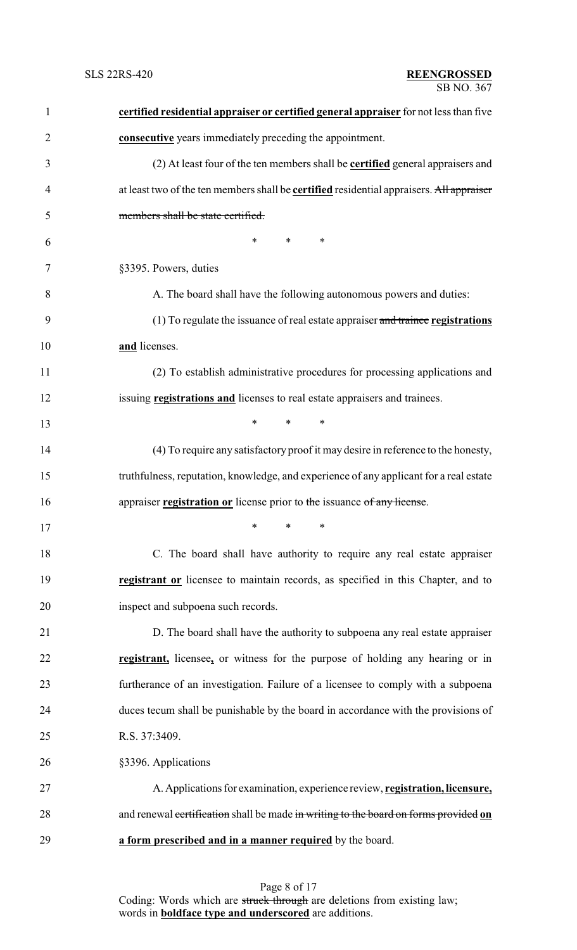| $\mathbf{1}$   | certified residential appraiser or certified general appraiser for not less than five           |
|----------------|-------------------------------------------------------------------------------------------------|
| $\overline{2}$ | consecutive years immediately preceding the appointment.                                        |
| 3              | (2) At least four of the ten members shall be <b>certified</b> general appraisers and           |
| $\overline{4}$ | at least two of the ten members shall be <b>certified</b> residential appraisers. All appraiser |
| 5              | members shall be state certified.                                                               |
| 6              | $\ast$<br>$\ast$<br>$\ast$                                                                      |
| 7              | §3395. Powers, duties                                                                           |
| 8              | A. The board shall have the following autonomous powers and duties:                             |
| 9              | $(1)$ To regulate the issuance of real estate appraiser and trainee registrations               |
| 10             | and licenses.                                                                                   |
| 11             | (2) To establish administrative procedures for processing applications and                      |
| 12             | issuing registrations and licenses to real estate appraisers and trainees.                      |
| 13             | $\ast$<br>*<br>$\ast$                                                                           |
| 14             | (4) To require any satisfactory proof it may desire in reference to the honesty,                |
| 15             | truthfulness, reputation, knowledge, and experience of any applicant for a real estate          |
| 16             | appraiser registration or license prior to the issuance of any license.                         |
| 17             | $\ast$ . The set of $\ast$<br>$\ast$ $\cdots$<br>∗                                              |
| 18             | C. The board shall have authority to require any real estate appraiser                          |
| 19             | registrant or licensee to maintain records, as specified in this Chapter, and to                |
| 20             | inspect and subpoena such records.                                                              |
| 21             | D. The board shall have the authority to subpoena any real estate appraiser                     |
| 22             | registrant, licensee, or witness for the purpose of holding any hearing or in                   |
| 23             | furtherance of an investigation. Failure of a licensee to comply with a subpoena                |
| 24             | duces tecum shall be punishable by the board in accordance with the provisions of               |
| 25             | R.S. 37:3409.                                                                                   |
| 26             | §3396. Applications                                                                             |
| 27             | A. Applications for examination, experience review, registration, licensure,                    |
| 28             | and renewal certification shall be made in writing to the board on forms provided on            |
| 29             | a form prescribed and in a manner required by the board.                                        |

Page 8 of 17 Coding: Words which are struck through are deletions from existing law; words in **boldface type and underscored** are additions.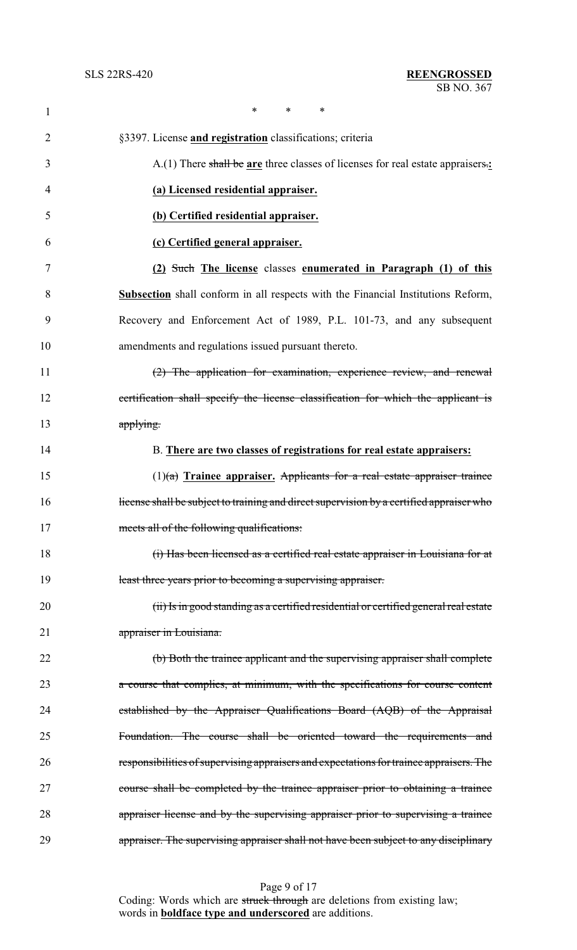| $\mathbf{1}$   | *<br>*<br>$\ast$                                                                         |
|----------------|------------------------------------------------------------------------------------------|
| $\overline{2}$ | §3397. License and registration classifications; criteria                                |
| 3              | A.(1) There shall be are three classes of licenses for real estate appraisers.           |
| 4              | (a) Licensed residential appraiser.                                                      |
| 5              | (b) Certified residential appraiser.                                                     |
| 6              | (c) Certified general appraiser.                                                         |
| 7              | (2) Such The license classes enumerated in Paragraph (1) of this                         |
| 8              | <b>Subsection</b> shall conform in all respects with the Financial Institutions Reform,  |
| 9              | Recovery and Enforcement Act of 1989, P.L. 101-73, and any subsequent                    |
| 10             | amendments and regulations issued pursuant thereto.                                      |
| 11             | (2) The application for examination, experience review, and renewal                      |
| 12             | certification shall specify the license classification for which the applicant is        |
| 13             | applying.                                                                                |
| 14             | B. There are two classes of registrations for real estate appraisers:                    |
| 15             | $(1)(a)$ Trainee appraiser. Applicants for a real estate appraiser trainee               |
| 16             | license shall be subject to training and direct supervision by a certified appraiser who |
| 17             | meets all of the following qualifications:                                               |
| 18             | (i) Has been licensed as a certified real estate appraiser in Louisiana for at           |
| 19             | least three years prior to becoming a supervising appraiser.                             |
| 20             | (ii) Is in good standing as a certified residential or certified general real estate     |
| 21             | appraiser in Louisiana.                                                                  |
| 22             | (b) Both the trainee applicant and the supervising appraiser shall complete              |
| 23             | a course that complies, at minimum, with the specifications for course content           |
| 24             | established by the Appraiser Qualifications Board (AQB) of the Appraisal                 |
| 25             | Foundation. The course shall be oriented toward the requirements and                     |
| 26             | responsibilities of supervising appraisers and expectations for trainee appraisers. The  |
| 27             | course shall be completed by the trainee appraiser prior to obtaining a trainee          |
| 28             | appraiser license and by the supervising appraiser prior to supervising a trainee        |
| 29             | appraiser. The supervising appraiser shall not have been subject to any disciplinary     |

Page 9 of 17 Coding: Words which are struck through are deletions from existing law; words in **boldface type and underscored** are additions.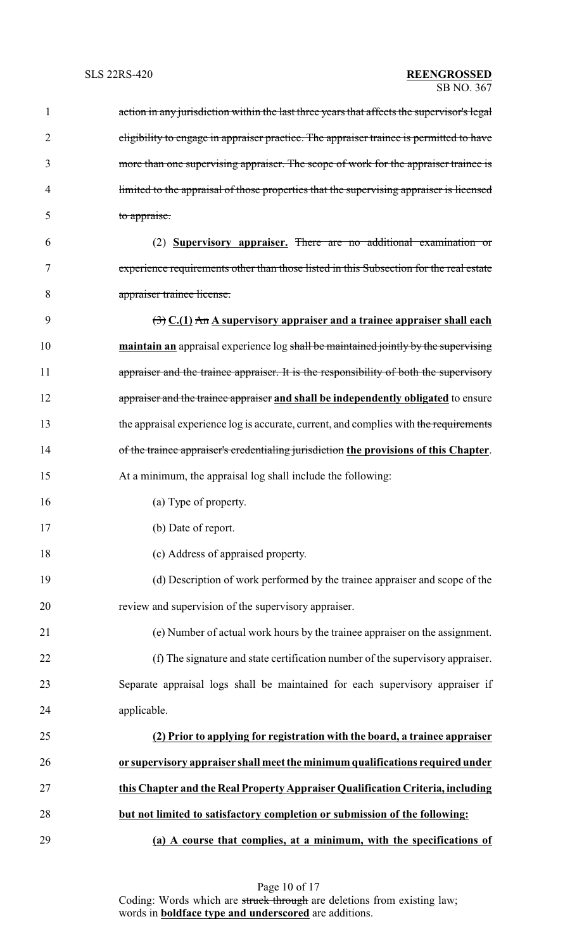| 1  | action in any jurisdiction within the last three years that affects the supervisor's legal     |
|----|------------------------------------------------------------------------------------------------|
| 2  | eligibility to engage in appraiser practice. The appraiser trainee is permitted to have        |
| 3  | more than one supervising appraiser. The scope of work for the appraiser trainee is            |
| 4  | limited to the appraisal of those properties that the supervising appraiser is licensed        |
| 5  | to appraise.                                                                                   |
| 6  | (2) <b>Supervisory appraiser.</b> There are no additional examination or                       |
| 7  | experience requirements other than those listed in this Subsection for the real estate         |
| 8  | appraiser trainee license.                                                                     |
| 9  | $\left(\frac{1}{2}\right)$ C.(1) An A supervisory appraiser and a trainee appraiser shall each |
| 10 | maintain an appraisal experience log shall be maintained jointly by the supervising            |
| 11 | appraiser and the trainee appraiser. It is the responsibility of both the supervisory          |
| 12 | appraiser and the trainee appraiser and shall be independently obligated to ensure             |
| 13 | the appraisal experience log is accurate, current, and complies with the requirements          |
| 14 | of the trainee appraiser's credentialing jurisdiction the provisions of this Chapter.          |
| 15 | At a minimum, the appraisal log shall include the following:                                   |
| 16 | (a) Type of property.                                                                          |
| 17 | (b) Date of report.                                                                            |
| 18 | (c) Address of appraised property.                                                             |
| 19 | (d) Description of work performed by the trainee appraiser and scope of the                    |
| 20 | review and supervision of the supervisory appraiser.                                           |
| 21 | (e) Number of actual work hours by the trainee appraiser on the assignment.                    |
| 22 | (f) The signature and state certification number of the supervisory appraiser.                 |
| 23 | Separate appraisal logs shall be maintained for each supervisory appraiser if                  |
| 24 | applicable.                                                                                    |
| 25 | (2) Prior to applying for registration with the board, a trainee appraiser                     |
| 26 | or supervisory appraiser shall meet the minimum qualifications required under                  |
| 27 | this Chapter and the Real Property Appraiser Qualification Criteria, including                 |
| 28 | but not limited to satisfactory completion or submission of the following:                     |
| 29 | (a) A course that complies, at a minimum, with the specifications of                           |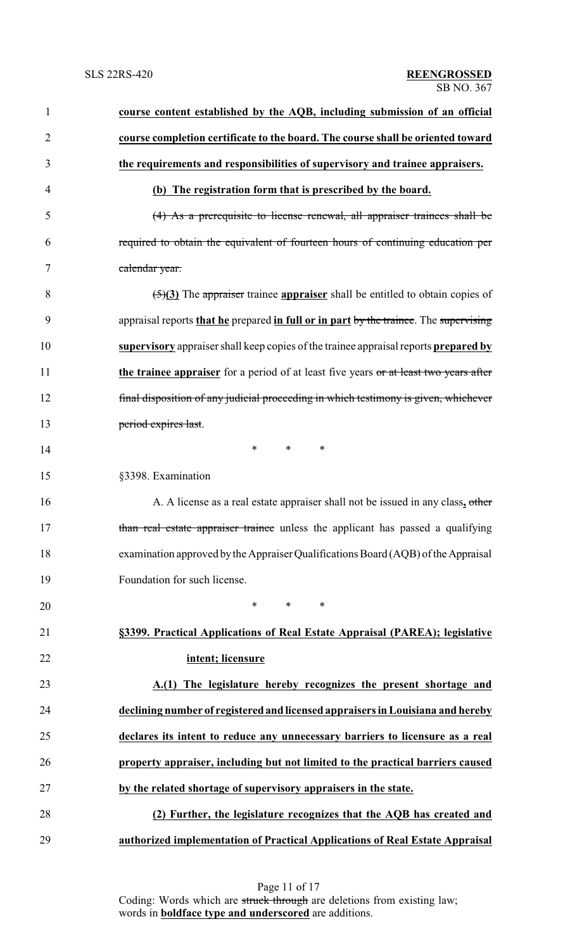| $\mathbf{1}$   | course content established by the AQB, including submission of an official            |
|----------------|---------------------------------------------------------------------------------------|
| $\overline{2}$ | course completion certificate to the board. The course shall be oriented toward       |
| 3              | the requirements and responsibilities of supervisory and trainee appraisers.          |
| 4              | (b) The registration form that is prescribed by the board.                            |
| 5              | (4) As a prerequisite to license renewal, all appraiser trainees shall be             |
| 6              | required to obtain the equivalent of fourteen hours of continuing education per       |
| 7              | calendar year.                                                                        |
| 8              | $\frac{5}{3}$ The appraiser trainee appraiser shall be entitled to obtain copies of   |
| 9              | appraisal reports that he prepared in full or in part by the trainee. The supervising |
| 10             | supervisory appraiser shall keep copies of the trainee appraisal reports prepared by  |
| 11             | the trainee appraiser for a period of at least five years or at least two years after |
| 12             | final disposition of any judicial proceeding in which testimony is given, whichever   |
| 13             | period expires last.                                                                  |
| 14             | $\ast$<br>∗<br>∗                                                                      |
| 15             | §3398. Examination                                                                    |
| 16             | A. A license as a real estate appraiser shall not be issued in any class, other       |
| 17             | than real estate appraiser trainee unless the applicant has passed a qualifying       |
| 18             | examination approved by the Appraiser Qualifications Board (AQB) of the Appraisal     |
| 19             | Foundation for such license.                                                          |
| 20             | $\ast$<br>$\ast$<br>$\ast$                                                            |
| 21             | §3399. Practical Applications of Real Estate Appraisal (PAREA); legislative           |
| 22             | intent; licensure                                                                     |
| 23             | A.(1) The legislature hereby recognizes the present shortage and                      |
| 24             | declining number of registered and licensed appraisers in Louisiana and hereby        |
| 25             | declares its intent to reduce any unnecessary barriers to licensure as a real         |
| 26             | property appraiser, including but not limited to the practical barriers caused        |
| 27             | by the related shortage of supervisory appraisers in the state.                       |
| 28             | (2) Further, the legislature recognizes that the AQB has created and                  |
| 29             | authorized implementation of Practical Applications of Real Estate Appraisal          |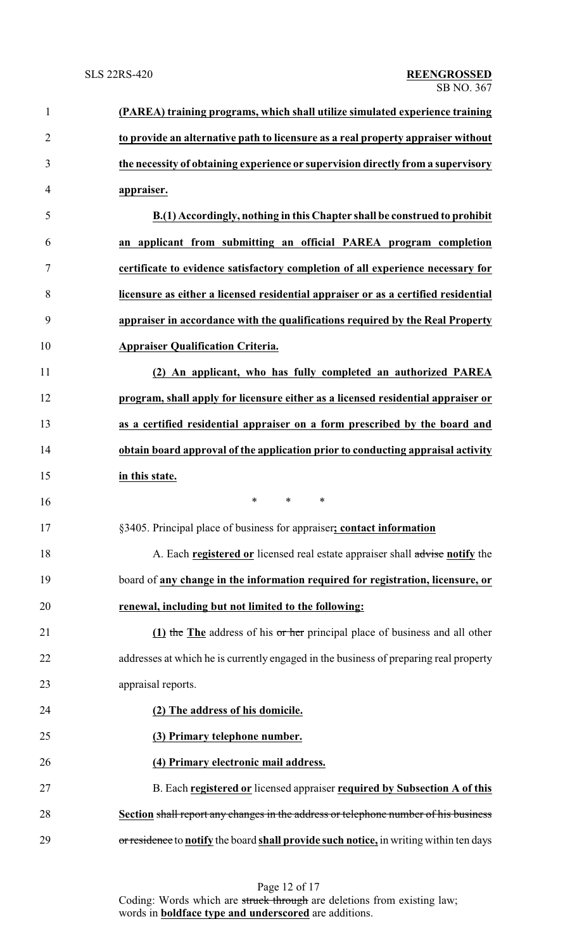| $\mathbf{1}$   | (PAREA) training programs, which shall utilize simulated experience training           |
|----------------|----------------------------------------------------------------------------------------|
| $\overline{2}$ | to provide an alternative path to licensure as a real property appraiser without       |
| 3              | the necessity of obtaining experience or supervision directly from a supervisory       |
| 4              | appraiser.                                                                             |
| 5              | B.(1) Accordingly, nothing in this Chapter shall be construed to prohibit              |
| 6              | an applicant from submitting an official PAREA program completion                      |
| 7              | certificate to evidence satisfactory completion of all experience necessary for        |
| 8              | licensure as either a licensed residential appraiser or as a certified residential     |
| 9              | appraiser in accordance with the qualifications required by the Real Property          |
| 10             | <b>Appraiser Qualification Criteria.</b>                                               |
| 11             | (2) An applicant, who has fully completed an authorized PAREA                          |
| 12             | program, shall apply for licensure either as a licensed residential appraiser or       |
| 13             | as a certified residential appraiser on a form prescribed by the board and             |
| 14             | obtain board approval of the application prior to conducting appraisal activity        |
| 15             | in this state.                                                                         |
| 16             | *<br>$\ast$<br>∗                                                                       |
| 17             | §3405. Principal place of business for appraiser; contact information                  |
| 18             | A. Each registered or licensed real estate appraiser shall advise notify the           |
| 19             | board of any change in the information required for registration, licensure, or        |
| 20             | renewal, including but not limited to the following:                                   |
| 21             | (1) the The address of his or her principal place of business and all other            |
| 22             | addresses at which he is currently engaged in the business of preparing real property  |
| 23             | appraisal reports.                                                                     |
| 24             | (2) The address of his domicile.                                                       |
| 25             | (3) Primary telephone number.                                                          |
| 26             | (4) Primary electronic mail address.                                                   |
| 27             | B. Each registered or licensed appraiser required by Subsection A of this              |
| 28             | Section shall report any changes in the address or telephone number of his business    |
| 29             | or residence to notify the board shall provide such notice, in writing within ten days |

Page 12 of 17 Coding: Words which are struck through are deletions from existing law; words in **boldface type and underscored** are additions.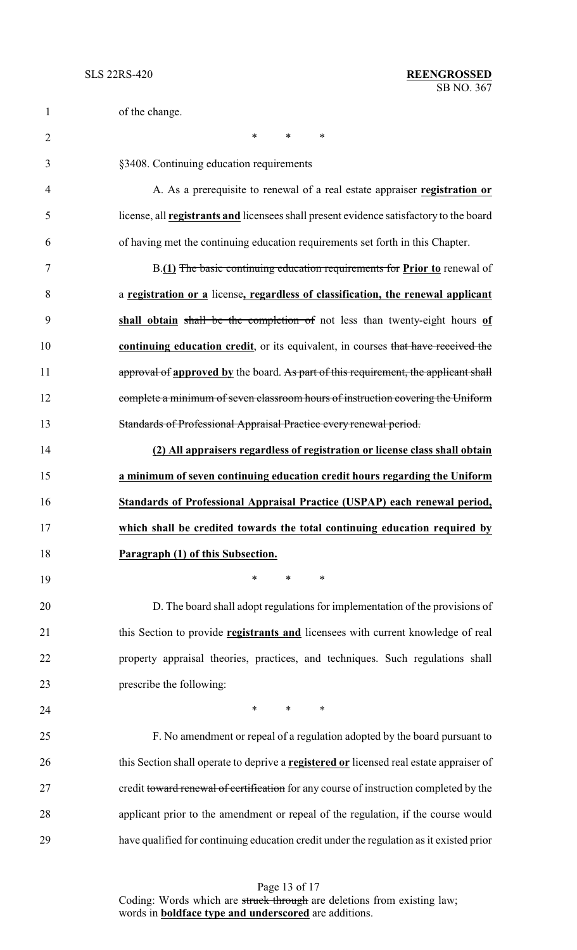| $\mathbf{1}$   | of the change.                                                                                 |
|----------------|------------------------------------------------------------------------------------------------|
| $\overline{2}$ | $\ast$<br>$\ast$<br>∗                                                                          |
| 3              | §3408. Continuing education requirements                                                       |
| 4              | A. As a prerequisite to renewal of a real estate appraiser registration or                     |
| 5              | license, all <b>registrants and</b> licensees shall present evidence satisfactory to the board |
| 6              | of having met the continuing education requirements set forth in this Chapter.                 |
| 7              | B.(1) The basic continuing education requirements for Prior to renewal of                      |
| 8              | a registration or a license, regardless of classification, the renewal applicant               |
| 9              | shall obtain shall be the completion of not less than twenty-eight hours of                    |
| 10             | continuing education credit, or its equivalent, in courses that have received the              |
| 11             | approval of approved by the board. As part of this requirement, the applicant shall            |
| 12             | complete a minimum of seven classroom hours of instruction covering the Uniform                |
| 13             | Standards of Professional Appraisal Practice every renewal period.                             |
| 14             | (2) All appraisers regardless of registration or license class shall obtain                    |
| 15             | a minimum of seven continuing education credit hours regarding the Uniform                     |
| 16             | Standards of Professional Appraisal Practice (USPAP) each renewal period,                      |
| 17             | which shall be credited towards the total continuing education required by                     |
| 18             | Paragraph (1) of this Subsection.                                                              |
| 19             | $\ast$<br>*<br>∗                                                                               |
| 20             | D. The board shall adopt regulations for implementation of the provisions of                   |
| 21             | this Section to provide <b>registrants and</b> licensees with current knowledge of real        |
| 22             | property appraisal theories, practices, and techniques. Such regulations shall                 |
| 23             | prescribe the following:                                                                       |
| 24             | $\ast$<br>$\ast$<br>$\ast$                                                                     |
| 25             | F. No amendment or repeal of a regulation adopted by the board pursuant to                     |
| 26             | this Section shall operate to deprive a <b>registered or</b> licensed real estate appraiser of |
| 27             | credit toward renewal of certification for any course of instruction completed by the          |
| 28             | applicant prior to the amendment or repeal of the regulation, if the course would              |
| 29             | have qualified for continuing education credit under the regulation as it existed prior        |

Page 13 of 17

Coding: Words which are struck through are deletions from existing law; words in **boldface type and underscored** are additions.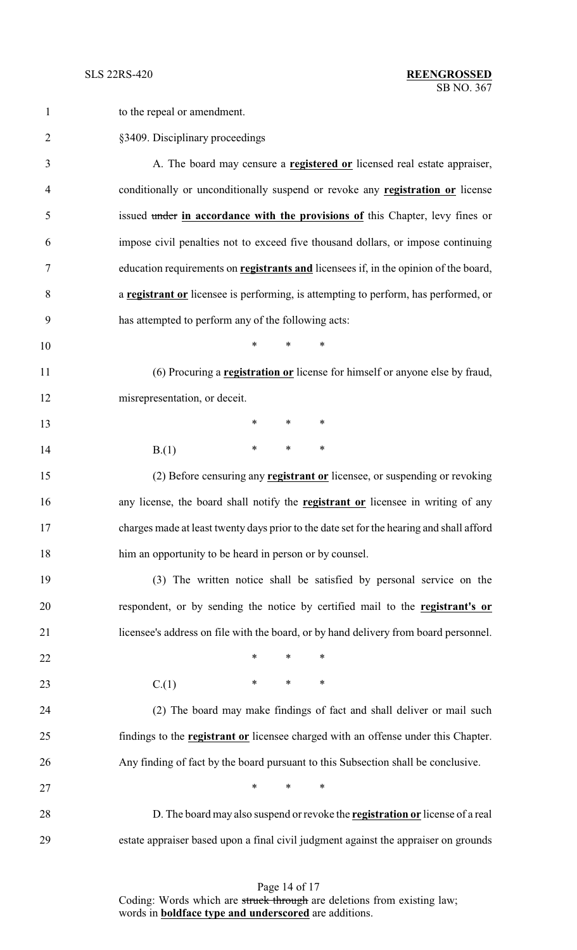| $\mathbf{1}$   | to the repeal or amendment.                                                                 |
|----------------|---------------------------------------------------------------------------------------------|
| $\overline{2}$ | §3409. Disciplinary proceedings                                                             |
| 3              | A. The board may censure a <b>registered or</b> licensed real estate appraiser,             |
| $\overline{4}$ | conditionally or unconditionally suspend or revoke any <b>registration or</b> license       |
| 5              | issued under in accordance with the provisions of this Chapter, levy fines or               |
| 6              | impose civil penalties not to exceed five thousand dollars, or impose continuing            |
| 7              | education requirements on <b>registrants and</b> licensees if, in the opinion of the board, |
| 8              | a <b>registrant or</b> licensee is performing, is attempting to perform, has performed, or  |
| 9              | has attempted to perform any of the following acts:                                         |
| 10             | $\ast$<br>$\ast$<br>*                                                                       |
| 11             | (6) Procuring a <b>registration or</b> license for himself or anyone else by fraud,         |
| 12             | misrepresentation, or deceit.                                                               |
| 13             | $\ast$<br>$\ast$<br>∗                                                                       |
| 14             | $\ast$<br>∗<br>∗<br>B(1)                                                                    |
| 15             | (2) Before censuring any <b>registrant or</b> licensee, or suspending or revoking           |
| 16             | any license, the board shall notify the <b>registrant or</b> licensee in writing of any     |
| 17             | charges made at least twenty days prior to the date set for the hearing and shall afford    |
| 18             | him an opportunity to be heard in person or by counsel.                                     |
| 19             | (3) The written notice shall be satisfied by personal service on the                        |
| 20             | respondent, or by sending the notice by certified mail to the registrant's or               |
| 21             | licensee's address on file with the board, or by hand delivery from board personnel.        |
| 22             | $\ast$<br>$\ast$<br>∗                                                                       |
| 23             | $\ast$<br>$\ast$<br>$\ast$<br>C(1)                                                          |
| 24             | (2) The board may make findings of fact and shall deliver or mail such                      |
| 25             | findings to the <b>registrant or</b> licensee charged with an offense under this Chapter.   |
| 26             | Any finding of fact by the board pursuant to this Subsection shall be conclusive.           |
| 27             | $*$<br>$\ast$<br>∗                                                                          |
| 28             | D. The board may also suspend or revoke the <b>registration or</b> license of a real        |
| 29             | estate appraiser based upon a final civil judgment against the appraiser on grounds         |

Page 14 of 17 Coding: Words which are struck through are deletions from existing law; words in **boldface type and underscored** are additions.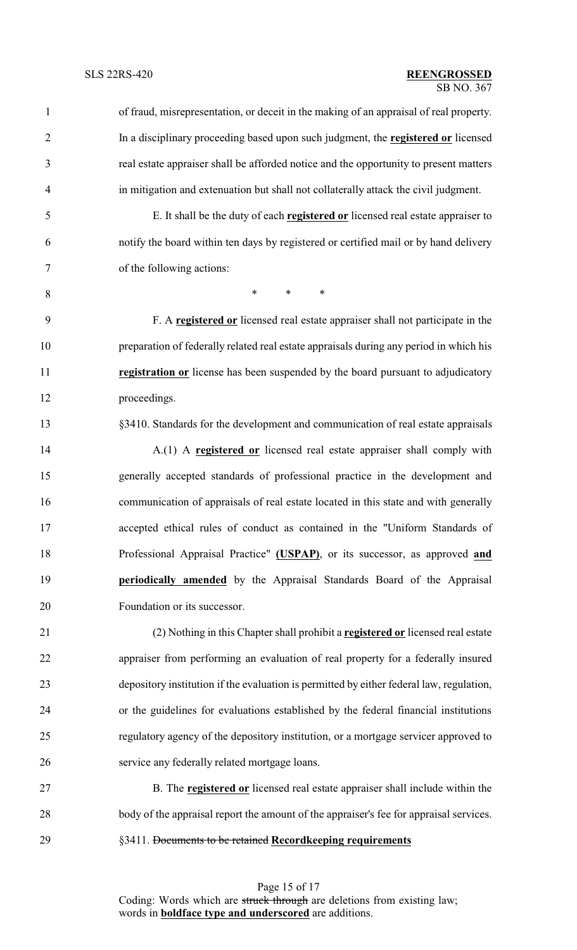| $\mathbf{1}$   | of fraud, misrepresentation, or deceit in the making of an appraisal of real property.   |
|----------------|------------------------------------------------------------------------------------------|
| $\overline{2}$ | In a disciplinary proceeding based upon such judgment, the registered or licensed        |
| 3              | real estate appraiser shall be afforded notice and the opportunity to present matters    |
| 4              | in mitigation and extenuation but shall not collaterally attack the civil judgment.      |
| 5              | E. It shall be the duty of each <b>registered or</b> licensed real estate appraiser to   |
| 6              | notify the board within ten days by registered or certified mail or by hand delivery     |
| 7              | of the following actions:                                                                |
| 8              | $\ast$<br>$\ast$<br>$\ast$                                                               |
| 9              | F. A registered or licensed real estate appraiser shall not participate in the           |
| 10             | preparation of federally related real estate appraisals during any period in which his   |
| 11             | registration or license has been suspended by the board pursuant to adjudicatory         |
| 12             | proceedings.                                                                             |
| 13             | §3410. Standards for the development and communication of real estate appraisals         |
| 14             | A.(1) A registered or licensed real estate appraiser shall comply with                   |
| 15             | generally accepted standards of professional practice in the development and             |
| 16             | communication of appraisals of real estate located in this state and with generally      |
| 17             | accepted ethical rules of conduct as contained in the "Uniform Standards of              |
| 18             | Professional Appraisal Practice" (USPAP), or its successor, as approved and              |
| 19             | periodically amended by the Appraisal Standards Board of the Appraisal                   |
| 20             | Foundation or its successor.                                                             |
| 21             | (2) Nothing in this Chapter shall prohibit a registered or licensed real estate          |
| 22             | appraiser from performing an evaluation of real property for a federally insured         |
| 23             | depository institution if the evaluation is permitted by either federal law, regulation, |
| 24             | or the guidelines for evaluations established by the federal financial institutions      |
| 25             | regulatory agency of the depository institution, or a mortgage servicer approved to      |
| 26             | service any federally related mortgage loans.                                            |
| 27             | B. The <b>registered or</b> licensed real estate appraiser shall include within the      |
| 28             | body of the appraisal report the amount of the appraiser's fee for appraisal services.   |
| 29             | §3411. Documents to be retained Recordkeeping requirements                               |

Page 15 of 17 Coding: Words which are struck through are deletions from existing law; words in **boldface type and underscored** are additions.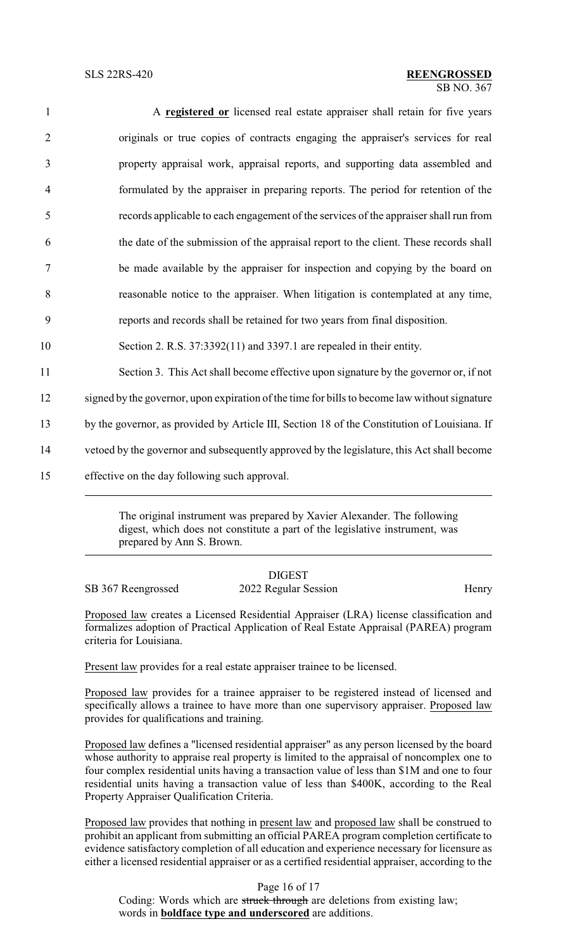| $\mathbf{1}$   | A registered or licensed real estate appraiser shall retain for five years                    |
|----------------|-----------------------------------------------------------------------------------------------|
| $\overline{2}$ | originals or true copies of contracts engaging the appraiser's services for real              |
| $\mathfrak{Z}$ | property appraisal work, appraisal reports, and supporting data assembled and                 |
| $\overline{4}$ | formulated by the appraiser in preparing reports. The period for retention of the             |
| 5              | records applicable to each engagement of the services of the appraiser shall run from         |
| 6              | the date of the submission of the appraisal report to the client. These records shall         |
| 7              | be made available by the appraiser for inspection and copying by the board on                 |
| 8              | reasonable notice to the appraiser. When litigation is contemplated at any time,              |
| 9              | reports and records shall be retained for two years from final disposition.                   |
| 10             | Section 2. R.S. 37:3392(11) and 3397.1 are repealed in their entity.                          |
| 11             | Section 3. This Act shall become effective upon signature by the governor or, if not          |
| 12             | signed by the governor, upon expiration of the time for bills to become law without signature |
| 13             | by the governor, as provided by Article III, Section 18 of the Constitution of Louisiana. If  |
| 14             | vetoed by the governor and subsequently approved by the legislature, this Act shall become    |
| 15             | effective on the day following such approval.                                                 |
|                |                                                                                               |

The original instrument was prepared by Xavier Alexander. The following digest, which does not constitute a part of the legislative instrument, was prepared by Ann S. Brown.

|                    | <b>DIGEST</b>        |       |
|--------------------|----------------------|-------|
| SB 367 Reengrossed | 2022 Regular Session | Henry |

Proposed law creates a Licensed Residential Appraiser (LRA) license classification and formalizes adoption of Practical Application of Real Estate Appraisal (PAREA) program criteria for Louisiana.

Present law provides for a real estate appraiser trainee to be licensed.

Proposed law provides for a trainee appraiser to be registered instead of licensed and specifically allows a trainee to have more than one supervisory appraiser. Proposed law provides for qualifications and training.

Proposed law defines a "licensed residential appraiser" as any person licensed by the board whose authority to appraise real property is limited to the appraisal of noncomplex one to four complex residential units having a transaction value of less than \$1M and one to four residential units having a transaction value of less than \$400K, according to the Real Property Appraiser Qualification Criteria.

Proposed law provides that nothing in present law and proposed law shall be construed to prohibit an applicant from submitting an official PAREA program completion certificate to evidence satisfactory completion of all education and experience necessary for licensure as either a licensed residential appraiser or as a certified residential appraiser, according to the

Page 16 of 17 Coding: Words which are struck through are deletions from existing law; words in **boldface type and underscored** are additions.